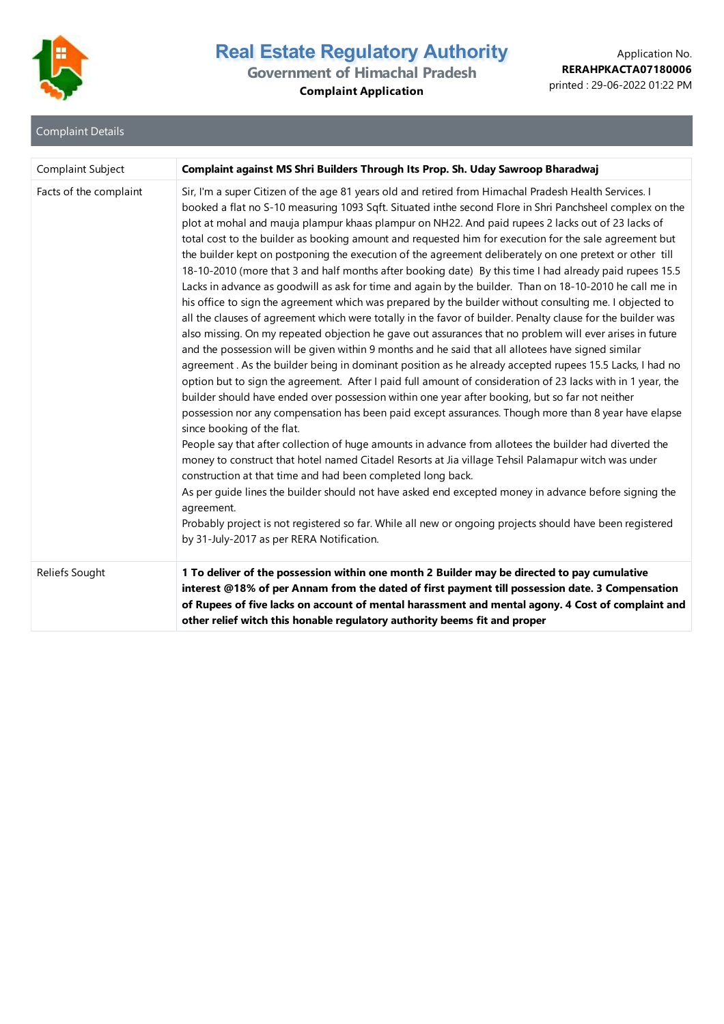

# **Government of Himachal Pradesh**

**Complaint Application**

| <b>Complaint Details</b> |  |  |
|--------------------------|--|--|
|                          |  |  |

| Complaint Subject      | Complaint against MS Shri Builders Through Its Prop. Sh. Uday Sawroop Bharadwaj                                                                                                                                                                                                                                                                                                                                                                                                                                                                                                                                                                                                                                                                                                                                                                                                                                                                                                                                                                                                                                                                                                                                                                                                                                                                                                                                                                                                                                                                                                                                                                                                                                                                                                                                                                                                                                                                                                                                                                                                                                                                                                                                                                  |
|------------------------|--------------------------------------------------------------------------------------------------------------------------------------------------------------------------------------------------------------------------------------------------------------------------------------------------------------------------------------------------------------------------------------------------------------------------------------------------------------------------------------------------------------------------------------------------------------------------------------------------------------------------------------------------------------------------------------------------------------------------------------------------------------------------------------------------------------------------------------------------------------------------------------------------------------------------------------------------------------------------------------------------------------------------------------------------------------------------------------------------------------------------------------------------------------------------------------------------------------------------------------------------------------------------------------------------------------------------------------------------------------------------------------------------------------------------------------------------------------------------------------------------------------------------------------------------------------------------------------------------------------------------------------------------------------------------------------------------------------------------------------------------------------------------------------------------------------------------------------------------------------------------------------------------------------------------------------------------------------------------------------------------------------------------------------------------------------------------------------------------------------------------------------------------------------------------------------------------------------------------------------------------|
| Facts of the complaint | Sir, I'm a super Citizen of the age 81 years old and retired from Himachal Pradesh Health Services. I<br>booked a flat no S-10 measuring 1093 Sqft. Situated inthe second Flore in Shri Panchsheel complex on the<br>plot at mohal and mauja plampur khaas plampur on NH22. And paid rupees 2 lacks out of 23 lacks of<br>total cost to the builder as booking amount and requested him for execution for the sale agreement but<br>the builder kept on postponing the execution of the agreement deliberately on one pretext or other till<br>18-10-2010 (more that 3 and half months after booking date) By this time I had already paid rupees 15.5<br>Lacks in advance as goodwill as ask for time and again by the builder. Than on 18-10-2010 he call me in<br>his office to sign the agreement which was prepared by the builder without consulting me. I objected to<br>all the clauses of agreement which were totally in the favor of builder. Penalty clause for the builder was<br>also missing. On my repeated objection he gave out assurances that no problem will ever arises in future<br>and the possession will be given within 9 months and he said that all allotees have signed similar<br>agreement. As the builder being in dominant position as he already accepted rupees 15.5 Lacks, I had no<br>option but to sign the agreement. After I paid full amount of consideration of 23 lacks with in 1 year, the<br>builder should have ended over possession within one year after booking, but so far not neither<br>possession nor any compensation has been paid except assurances. Though more than 8 year have elapse<br>since booking of the flat.<br>People say that after collection of huge amounts in advance from allotees the builder had diverted the<br>money to construct that hotel named Citadel Resorts at Jia village Tehsil Palamapur witch was under<br>construction at that time and had been completed long back.<br>As per guide lines the builder should not have asked end excepted money in advance before signing the<br>agreement.<br>Probably project is not registered so far. While all new or ongoing projects should have been registered<br>by 31-July-2017 as per RERA Notification. |
| Reliefs Sought         | 1 To deliver of the possession within one month 2 Builder may be directed to pay cumulative<br>interest @18% of per Annam from the dated of first payment till possession date. 3 Compensation<br>of Rupees of five lacks on account of mental harassment and mental agony. 4 Cost of complaint and<br>other relief witch this honable regulatory authority beems fit and proper                                                                                                                                                                                                                                                                                                                                                                                                                                                                                                                                                                                                                                                                                                                                                                                                                                                                                                                                                                                                                                                                                                                                                                                                                                                                                                                                                                                                                                                                                                                                                                                                                                                                                                                                                                                                                                                                 |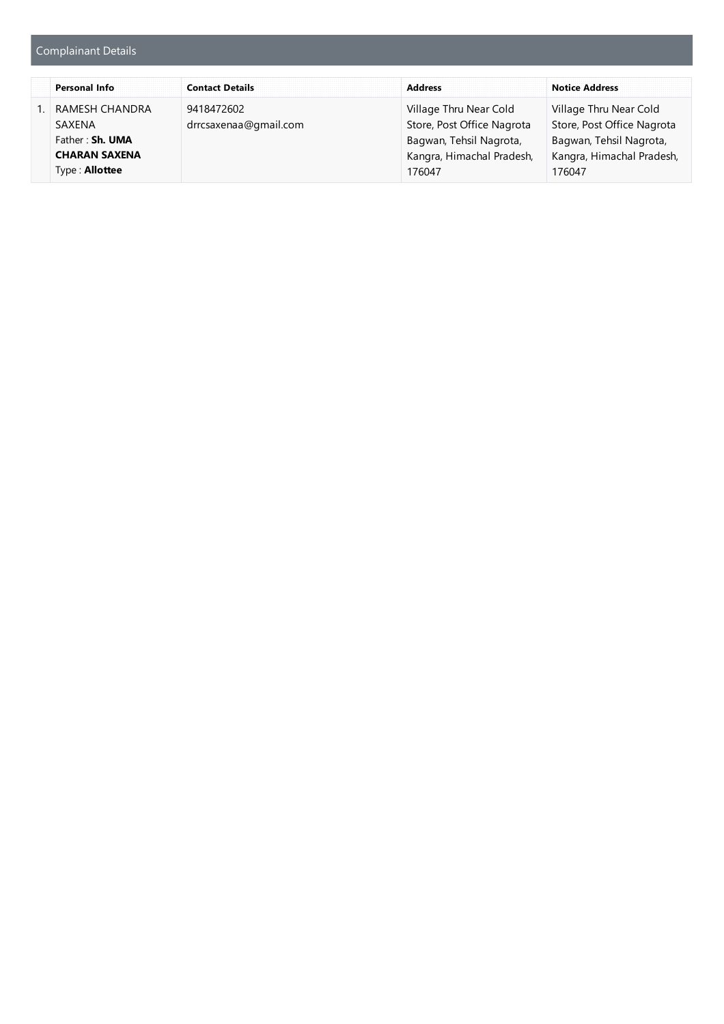## Complainant Details

| <b>Personal Info</b>                                                                         | <b>Contact Details</b>              |                                                                                                                        | <b>Notice Address</b>                                                                                                  |
|----------------------------------------------------------------------------------------------|-------------------------------------|------------------------------------------------------------------------------------------------------------------------|------------------------------------------------------------------------------------------------------------------------|
| RAMESH CHANDRA<br>SAXFNA<br>Father: Sh. UMA<br><b>CHARAN SAXENA</b><br>Type: <b>Allottee</b> | 9418472602<br>drrcsaxenaa@gmail.com | Village Thru Near Cold<br>Store, Post Office Nagrota<br>Bagwan, Tehsil Nagrota,<br>Kangra, Himachal Pradesh,<br>176047 | Village Thru Near Cold<br>Store, Post Office Nagrota<br>Bagwan, Tehsil Nagrota,<br>Kangra, Himachal Pradesh,<br>176047 |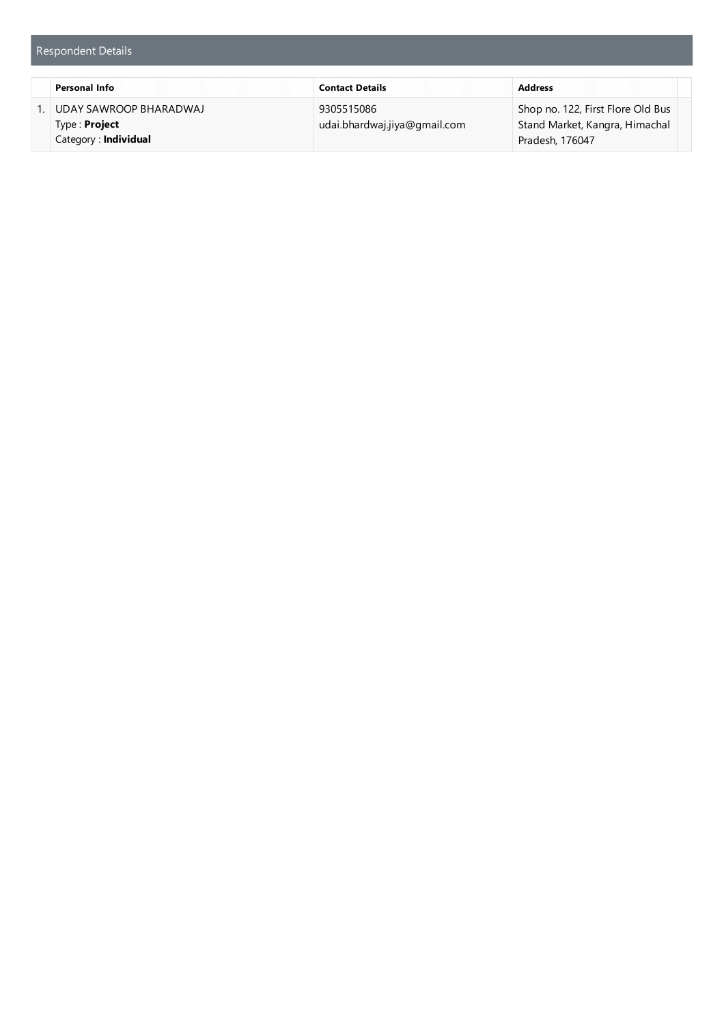|                        | <b>Contact Details</b>       |                                   |  |
|------------------------|------------------------------|-----------------------------------|--|
| UDAY SAWROOP BHARADWAJ | 9305515086                   | Shop no. 122, First Flore Old Bus |  |
| Type : <b>Project</b>  | udai.bhardwaj.jiya@gmail.com | Stand Market, Kangra, Himachal    |  |
| Category: Individual   |                              | Pradesh, 176047                   |  |

Respondent Details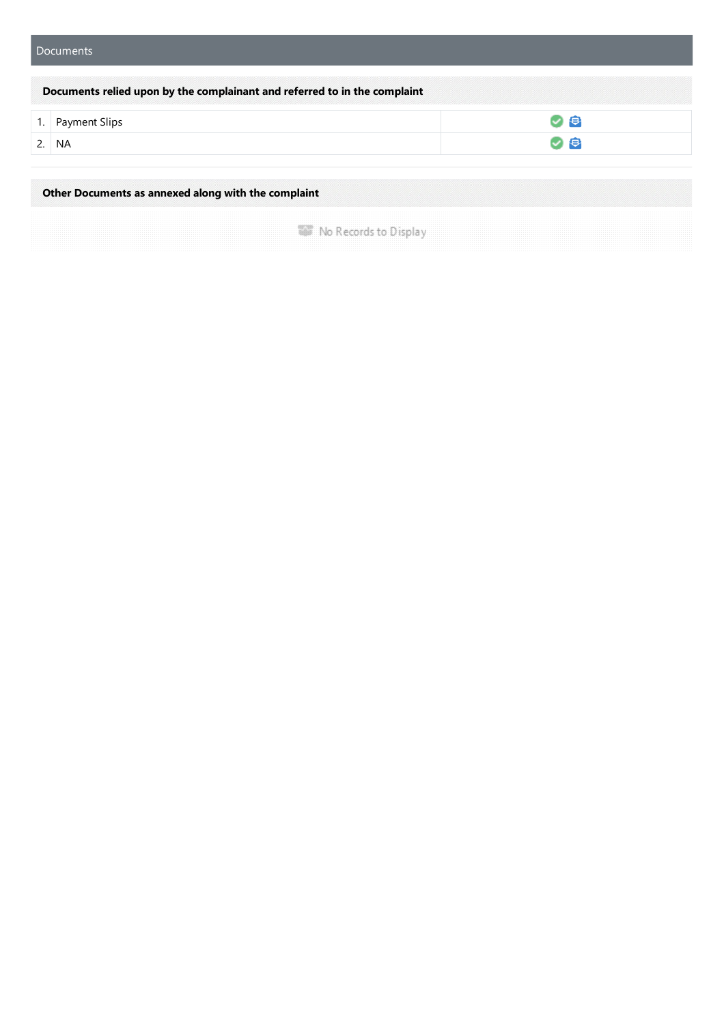| Documents relied upon by the complainant and referred to in the complaint |   |
|---------------------------------------------------------------------------|---|
| 1. Payment Slips                                                          | Ð |
| <b>NA</b>                                                                 | € |

**Other Documents as annexed along with the complaint**

**WE No Records to Display**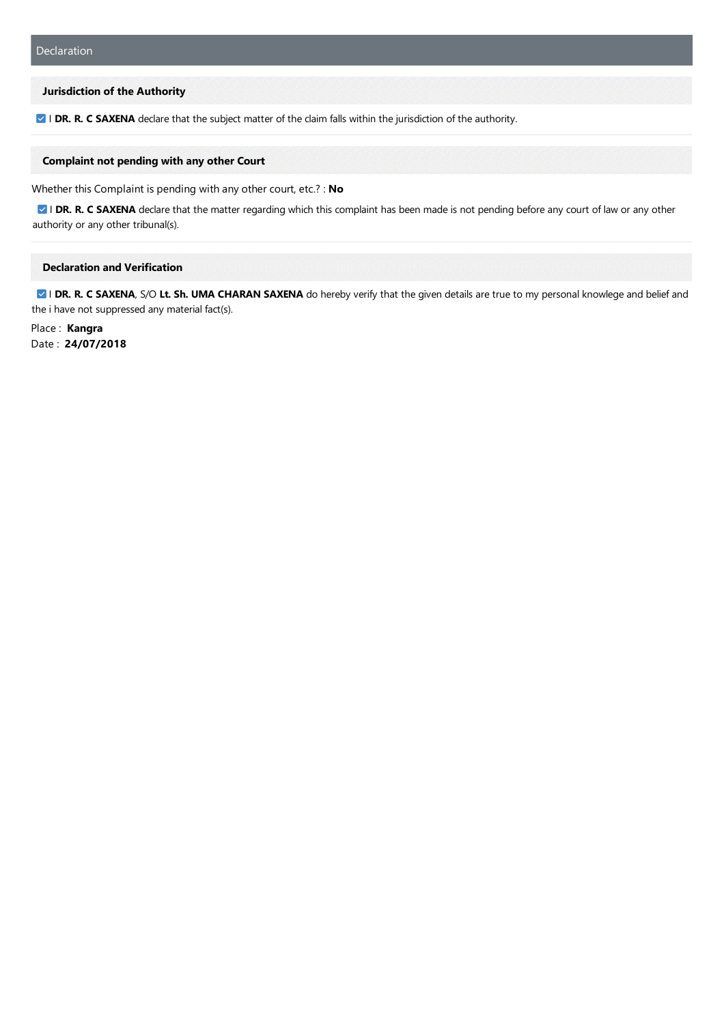#### **Jurisdiction of the Authority**

**Z I DR. R. C SAXENA** declare that the subject matter of the claim falls within the jurisdiction of the authority.

### **Complaint not pending with any other Court**

Whether this Complaint is pending with any other court, etc.? : No

**I DR. R. C SAXENA** declare that the matter regarding which this complaint has been made is not pending before any court of law or any other authority or any other tribunal(s).

### **Declaration and Verification**

**Z** I DR. R. C SAXENA, S/O Lt. Sh. UMA CHARAN SAXENA do hereby verify that the given details are true to my personal knowlege and belief and the i have not suppressed any material fact(s).

Place : **Kangra** Date : **24/07/2018**